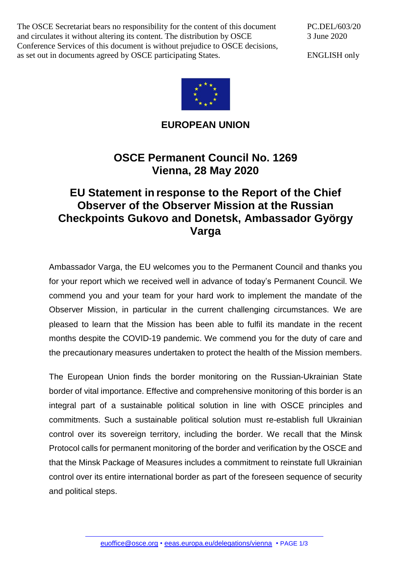The OSCE Secretariat bears no responsibility for the content of this document and circulates it without altering its content. The distribution by OSCE Conference Services of this document is without prejudice to OSCE decisions, as set out in documents agreed by OSCE participating States.

PC.DEL/603/20 3 June 2020

ENGLISH only



**EUROPEAN UNION**

## **OSCE Permanent Council No. 1269 Vienna, 28 May 2020**

## **EU Statement in response to the Report of the Chief Observer of the Observer Mission at the Russian Checkpoints Gukovo and Donetsk, Ambassador György Varga**

Ambassador Varga, the EU welcomes you to the Permanent Council and thanks you for your report which we received well in advance of today's Permanent Council. We commend you and your team for your hard work to implement the mandate of the Observer Mission, in particular in the current challenging circumstances. We are pleased to learn that the Mission has been able to fulfil its mandate in the recent months despite the COVID-19 pandemic. We commend you for the duty of care and the precautionary measures undertaken to protect the health of the Mission members.

The European Union finds the border monitoring on the Russian-Ukrainian State border of vital importance. Effective and comprehensive monitoring of this border is an integral part of a sustainable political solution in line with OSCE principles and commitments. Such a sustainable political solution must re-establish full Ukrainian control over its sovereign territory, including the border. We recall that the Minsk Protocol calls for permanent monitoring of the border and verification by the OSCE and that the Minsk Package of Measures includes a commitment to reinstate full Ukrainian control over its entire international border as part of the foreseen sequence of security and political steps.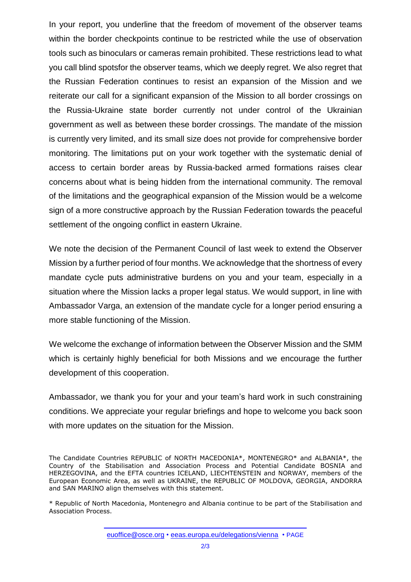In your report, you underline that the freedom of movement of the observer teams within the border checkpoints continue to be restricted while the use of observation tools such as binoculars or cameras remain prohibited. These restrictions lead to what you call blind spotsfor the observer teams, which we deeply regret. We also regret that the Russian Federation continues to resist an expansion of the Mission and we reiterate our call for a significant expansion of the Mission to all border crossings on the Russia-Ukraine state border currently not under control of the Ukrainian government as well as between these border crossings. The mandate of the mission is currently very limited, and its small size does not provide for comprehensive border monitoring. The limitations put on your work together with the systematic denial of access to certain border areas by Russia-backed armed formations raises clear concerns about what is being hidden from the international community. The removal of the limitations and the geographical expansion of the Mission would be a welcome sign of a more constructive approach by the Russian Federation towards the peaceful settlement of the ongoing conflict in eastern Ukraine.

We note the decision of the Permanent Council of last week to extend the Observer Mission by a further period of four months. We acknowledge that the shortness of every mandate cycle puts administrative burdens on you and your team, especially in a situation where the Mission lacks a proper legal status. We would support, in line with Ambassador Varga, an extension of the mandate cycle for a longer period ensuring a more stable functioning of the Mission.

We welcome the exchange of information between the Observer Mission and the SMM which is certainly highly beneficial for both Missions and we encourage the further development of this cooperation.

Ambassador, we thank you for your and your team's hard work in such constraining conditions. We appreciate your regular briefings and hope to welcome you back soon with more updates on the situation for the Mission.

The Candidate Countries REPUBLIC of NORTH MACEDONIA\*, MONTENEGRO\* and ALBANIA\*, the Country of the Stabilisation and Association Process and Potential Candidate BOSNIA and HERZEGOVINA, and the EFTA countries ICELAND, LIECHTENSTEIN and NORWAY, members of the European Economic Area, as well as UKRAINE, the REPUBLIC OF MOLDOVA, GEORGIA, ANDORRA and SAN MARINO align themselves with this statement.

<sup>\*</sup> Republic of North Macedonia, Montenegro and Albania continue to be part of the Stabilisation and Association Process.